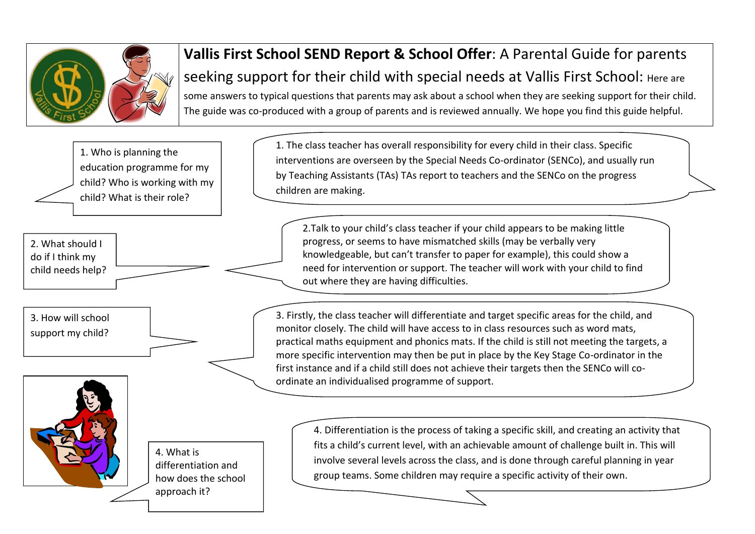

## **Vallis First School SEND Report & School Offer**: A Parental Guide for parents seeking support for their child with special needs at Vallis First School: Here are some answers to typical questions that parents may ask about a school when they are seeking support for their child. The guide was co-produced with a group of parents and is reviewed annually. We hope you find this guide helpful.

1. Who is planning the education programme for my child? Who is working with my child? What is their role?

2. What should I do if I think my child needs help?

3. How will school support my child?



4. What is differentiation and how does the school approach it?

1. The class teacher has overall responsibility for every child in their class. Specific interventions are overseen by the Special Needs Co-ordinator (SENCo), and usually run by Teaching Assistants (TAs) TAs report to teachers and the SENCo on the progress children are making.

2.Talk to your child's class teacher if your child appears to be making little progress, or seems to have mismatched skills (may be verbally very knowledgeable, but can't transfer to paper for example), this could show a need for intervention or support. The teacher will work with your child to find out where they are having difficulties.

3. Firstly, the class teacher will differentiate and target specific areas for the child, and monitor closely. The child will have access to in class resources such as word mats, practical maths equipment and phonics mats. If the child is still not meeting the targets, a more specific intervention may then be put in place by the Key Stage Co-ordinator in the first instance and if a child still does not achieve their targets then the SENCo will coordinate an individualised programme of support.

4. Differentiation is the process of taking a specific skill, and creating an activity that fits a child's current level, with an achievable amount of challenge built in. This will involve several levels across the class, and is done through careful planning in year group teams. Some children may require a specific activity of their own.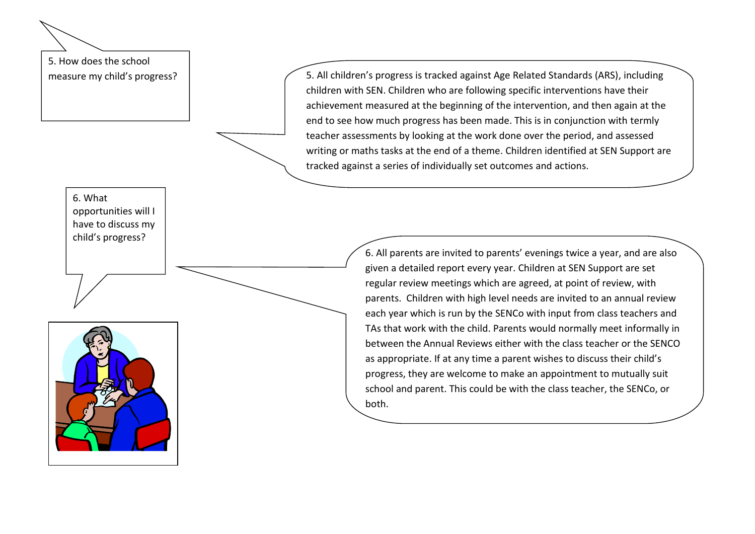5. How does the school

measure my child's progress?  $\vert$   $\vert$   $\vert$   $\vert$   $\vert$  5. All children's progress is tracked against Age Related Standards (ARS), including children with SEN. Children who are following specific interventions have their achievement measured at the beginning of the intervention, and then again at the end to see how much progress has been made. This is in conjunction with termly teacher assessments by looking at the work done over the period, and assessed writing or maths tasks at the end of a theme. Children identified at SEN Support are tracked against a series of individually set outcomes and actions.

> 6. All parents are invited to parents' evenings twice a year, and are also given a detailed report every year. Children at SEN Support are set regular review meetings which are agreed, at point of review, with parents. Children with high level needs are invited to an annual review each year which is run by the SENCo with input from class teachers and TAs that work with the child. Parents would normally meet informally in between the Annual Reviews either with the class teacher or the SENCO as appropriate. If at any time a parent wishes to discuss their child's progress, they are welcome to make an appointment to mutually suit school and parent. This could be with the class teacher, the SENCo, or both.

6. What opportunities will I have to discuss my child's progress?

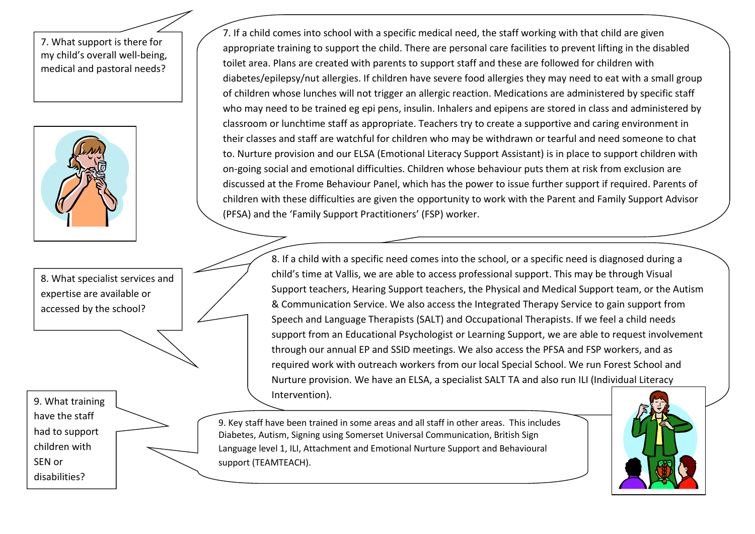7. What support is there for my child's overall well-being, medical and pastoral needs?



8. What specialist services and expertise are available or accessed by the school?

9. What training have the staff had to support children with SEN or disabilities?

7. If a child comes into school with a specific medical need, the staff working with that child are given appropriate training to support the child. There are personal care facilities to prevent lifting in the disabled toilet area. Plans are created with parents to support staff and these are followed for children with diabetes/epilepsy/nut allergies. If children have severe food allergies they may need to eat with a small group of children whose lunches will not trigger an allergic reaction. Medications are administered by specific staff who may need to be trained eg epi pens, insulin. Inhalers and epipens are stored in class and administered by classroom or lunchtime staff as appropriate. Teachers try to create a supportive and caring environment in their classes and staff are watchful for children who may be withdrawn or tearful and need someone to chat to. Nurture provision and our ELSA (Emotional Literacy Support Assistant) is in place to support children with on-going social and emotional difficulties. Children whose behaviour puts them at risk from exclusion are discussed at the Frome Behaviour Panel, which has the power to issue further support if required. Parents of children with these difficulties are given the opportunity to work with the Parent and Family Support Advisor (PFSA) and the 'Family Support Practitioners' (FSP) worker.

> 8. If a child with a specific need comes into the school, or a specific need is diagnosed during a child's time at Vallis, we are able to access professional support. This may be through Visual Support teachers, Hearing Support teachers, the Physical and Medical Support team, or the Autism & Communication Service. We also access the Integrated Therapy Service to gain support from Speech and Language Therapists (SALT) and Occupational Therapists. If we feel a child needs support from an Educational Psychologist or Learning Support, we are able to request involvement through our annual EP and SSID meetings. We also access the PFSA and FSP workers, and as required work with outreach workers from our local Special School. We run Forest School and Nurture provision. We have an ELSA, a specialist SALT TA and also run ILI (Individual Literacy Intervention).

9. Key staff have been trained in some areas and all staff in other areas. This includes Diabetes, Autism, Signing using Somerset Universal Communication, British Sign Language level 1, ILI, Attachment and Emotional Nurture Support and Behavioural support (TEAMTEACH).

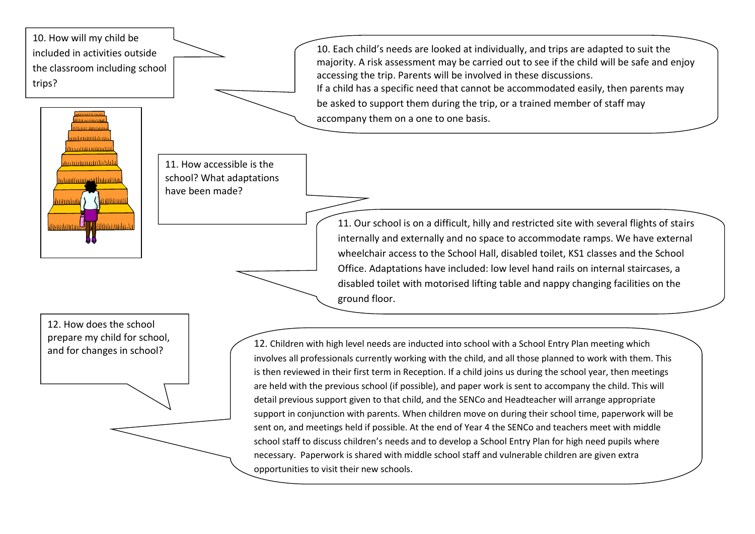10. How will my child be included in activities outside the classroom including school trips?



11. How accessible is the school? What adaptations have been made?

> internally and externally and no space to accommodate ramps. We have external wheelchair access to the School Hall, disabled toilet, KS1 classes and the School Office. Adaptations have included: low level hand rails on internal staircases, a disabled toilet with motorised lifting table and nappy changing facilities on the ground floor.

> 11. Our school is on a difficult, hilly and restricted site with several flights of stairs

10. Each child's needs are looked at individually, and trips are adapted to suit the majority. A risk assessment may be carried out to see if the child will be safe and enjoy

If a child has a specific need that cannot be accommodated easily, then parents may

be asked to support them during the trip, or a trained member of staff may

accessing the trip. Parents will be involved in these discussions.

accompany them on a one to one basis.

12. How does the school prepare my child for school,

and for changes in school?<br>and for changes in school?<br>and for changes in school? involves all professionals currently working with the child, and all those planned to work with them. This is then reviewed in their first term in Reception. If a child joins us during the school year, then meetings are held with the previous school (if possible), and paper work is sent to accompany the child. This will detail previous support given to that child, and the SENCo and Headteacher will arrange appropriate support in conjunction with parents. When children move on during their school time, paperwork will be sent on, and meetings held if possible. At the end of Year 4 the SENCo and teachers meet with middle school staff to discuss children's needs and to develop a School Entry Plan for high need pupils where necessary. Paperwork is shared with middle school staff and vulnerable children are given extra opportunities to visit their new schools.